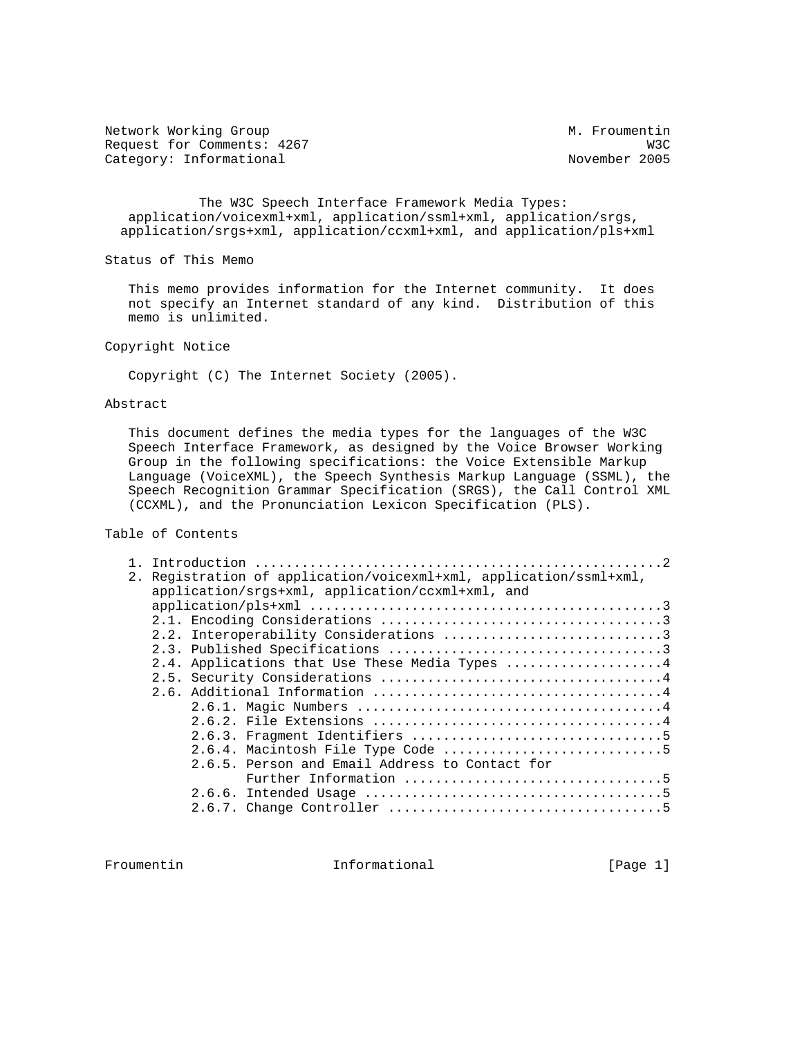Network Working Group Metwork Muslim Metwork Morking Group Request for Comments: 4267 W3C<br>Category: Informational World Movember 2005 Category: Informational

 The W3C Speech Interface Framework Media Types: application/voicexml+xml, application/ssml+xml, application/srgs, application/srgs+xml, application/ccxml+xml, and application/pls+xml

Status of This Memo

 This memo provides information for the Internet community. It does not specify an Internet standard of any kind. Distribution of this memo is unlimited.

Copyright Notice

Copyright (C) The Internet Society (2005).

### Abstract

 This document defines the media types for the languages of the W3C Speech Interface Framework, as designed by the Voice Browser Working Group in the following specifications: the Voice Extensible Markup Language (VoiceXML), the Speech Synthesis Markup Language (SSML), the Speech Recognition Grammar Specification (SRGS), the Call Control XML (CCXML), and the Pronunciation Lexicon Specification (PLS).

## Table of Contents

|  | 2. Registration of application/voicexml+xml, application/ssml+xml, |
|--|--------------------------------------------------------------------|
|  | application/srgs+xml, application/ccxml+xml, and                   |
|  | $application/pls+xm1           3$                                  |
|  |                                                                    |
|  | 2.2. Interoperability Considerations 3                             |
|  |                                                                    |
|  | 2.4. Applications that Use These Media Types 4                     |
|  |                                                                    |
|  |                                                                    |
|  |                                                                    |
|  |                                                                    |
|  |                                                                    |
|  |                                                                    |
|  | 2.6.5. Person and Email Address to Contact for                     |
|  |                                                                    |
|  |                                                                    |
|  |                                                                    |
|  |                                                                    |

Froumentin 1nformational [Page 1]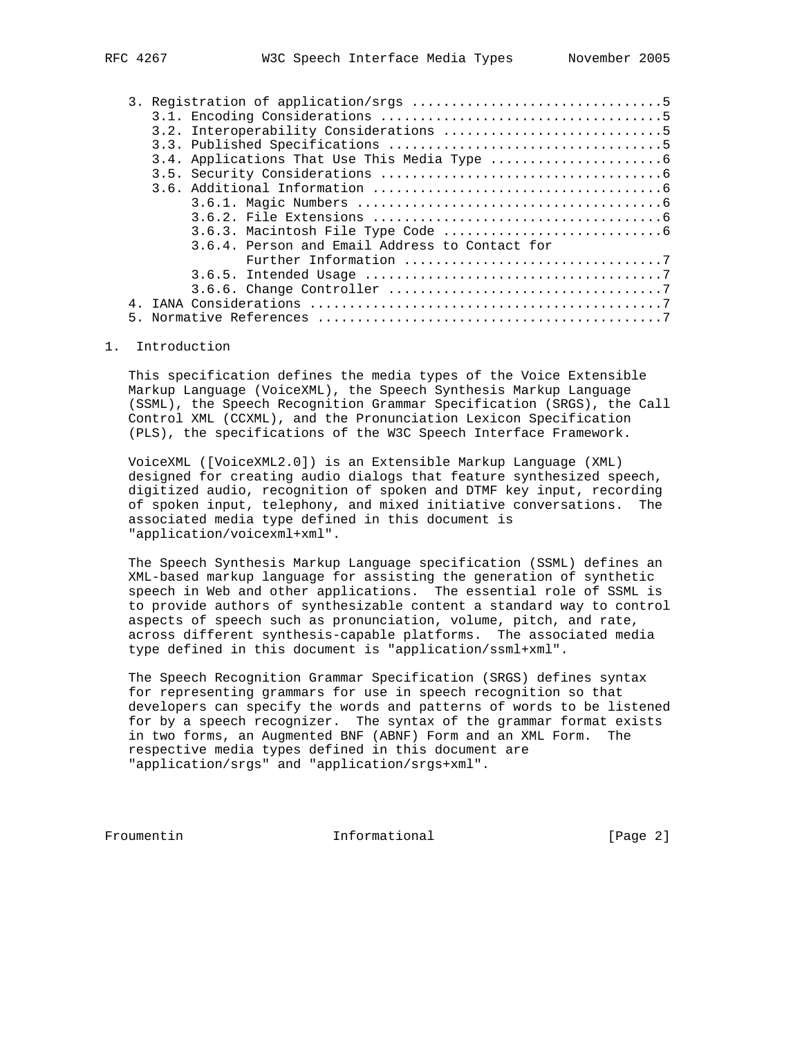|  | 3.6.4. Person and Email Address to Contact for |  |  |  |  |  |  |  |  |
|--|------------------------------------------------|--|--|--|--|--|--|--|--|
|  |                                                |  |  |  |  |  |  |  |  |
|  |                                                |  |  |  |  |  |  |  |  |
|  |                                                |  |  |  |  |  |  |  |  |
|  |                                                |  |  |  |  |  |  |  |  |
|  |                                                |  |  |  |  |  |  |  |  |

#### 1. Introduction

 This specification defines the media types of the Voice Extensible Markup Language (VoiceXML), the Speech Synthesis Markup Language (SSML), the Speech Recognition Grammar Specification (SRGS), the Call Control XML (CCXML), and the Pronunciation Lexicon Specification (PLS), the specifications of the W3C Speech Interface Framework.

 VoiceXML ([VoiceXML2.0]) is an Extensible Markup Language (XML) designed for creating audio dialogs that feature synthesized speech, digitized audio, recognition of spoken and DTMF key input, recording of spoken input, telephony, and mixed initiative conversations. The associated media type defined in this document is "application/voicexml+xml".

 The Speech Synthesis Markup Language specification (SSML) defines an XML-based markup language for assisting the generation of synthetic speech in Web and other applications. The essential role of SSML is to provide authors of synthesizable content a standard way to control aspects of speech such as pronunciation, volume, pitch, and rate, across different synthesis-capable platforms. The associated media type defined in this document is "application/ssml+xml".

 The Speech Recognition Grammar Specification (SRGS) defines syntax for representing grammars for use in speech recognition so that developers can specify the words and patterns of words to be listened for by a speech recognizer. The syntax of the grammar format exists in two forms, an Augmented BNF (ABNF) Form and an XML Form. The respective media types defined in this document are "application/srgs" and "application/srgs+xml".

Froumentin 1nformational 111 [Page 2]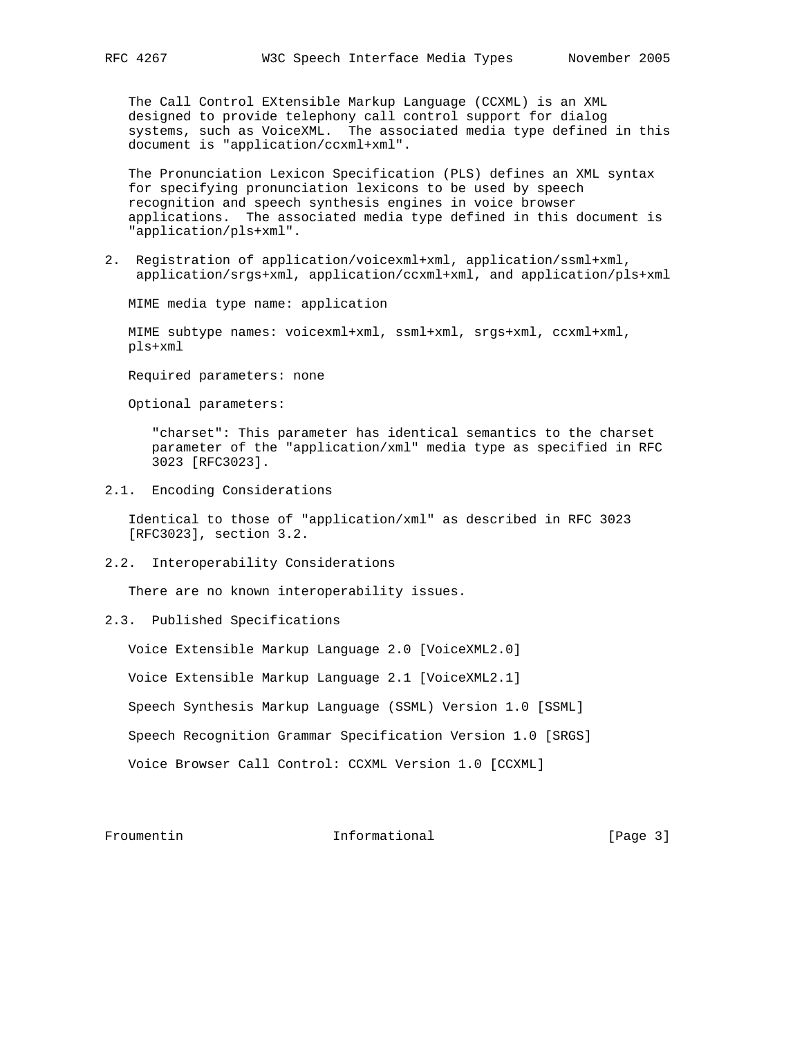The Call Control EXtensible Markup Language (CCXML) is an XML designed to provide telephony call control support for dialog systems, such as VoiceXML. The associated media type defined in this document is "application/ccxml+xml".

 The Pronunciation Lexicon Specification (PLS) defines an XML syntax for specifying pronunciation lexicons to be used by speech recognition and speech synthesis engines in voice browser applications. The associated media type defined in this document is "application/pls+xml".

2. Registration of application/voicexml+xml, application/ssml+xml, application/srgs+xml, application/ccxml+xml, and application/pls+xml

MIME media type name: application

 MIME subtype names: voicexml+xml, ssml+xml, srgs+xml, ccxml+xml, pls+xml

Required parameters: none

Optional parameters:

 "charset": This parameter has identical semantics to the charset parameter of the "application/xml" media type as specified in RFC 3023 [RFC3023].

2.1. Encoding Considerations

 Identical to those of "application/xml" as described in RFC 3023 [RFC3023], section 3.2.

2.2. Interoperability Considerations

There are no known interoperability issues.

# 2.3. Published Specifications

Voice Extensible Markup Language 2.0 [VoiceXML2.0]

Voice Extensible Markup Language 2.1 [VoiceXML2.1]

Speech Synthesis Markup Language (SSML) Version 1.0 [SSML]

Speech Recognition Grammar Specification Version 1.0 [SRGS]

Voice Browser Call Control: CCXML Version 1.0 [CCXML]

Froumentin 10 Informational 10 Page 3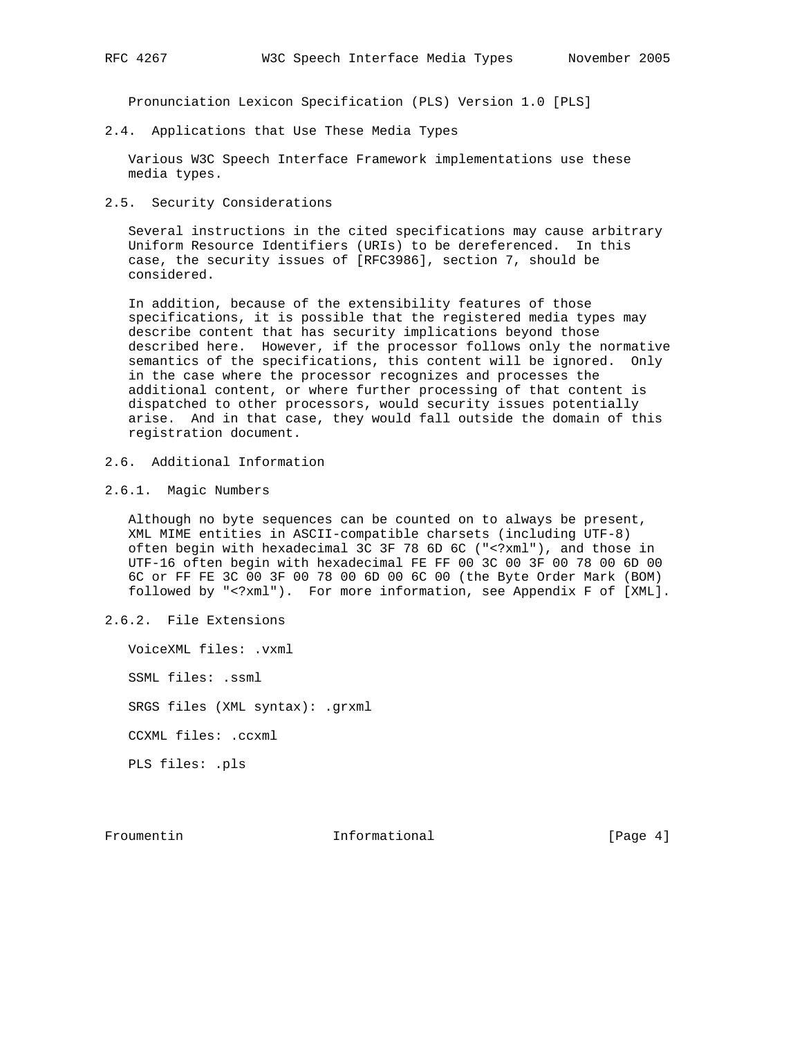Pronunciation Lexicon Specification (PLS) Version 1.0 [PLS]

2.4. Applications that Use These Media Types

 Various W3C Speech Interface Framework implementations use these media types.

2.5. Security Considerations

 Several instructions in the cited specifications may cause arbitrary Uniform Resource Identifiers (URIs) to be dereferenced. In this case, the security issues of [RFC3986], section 7, should be considered.

 In addition, because of the extensibility features of those specifications, it is possible that the registered media types may describe content that has security implications beyond those described here. However, if the processor follows only the normative semantics of the specifications, this content will be ignored. Only in the case where the processor recognizes and processes the additional content, or where further processing of that content is dispatched to other processors, would security issues potentially arise. And in that case, they would fall outside the domain of this registration document.

- 2.6. Additional Information
- 2.6.1. Magic Numbers

 Although no byte sequences can be counted on to always be present, XML MIME entities in ASCII-compatible charsets (including UTF-8) often begin with hexadecimal 3C 3F 78 6D 6C ("<?xml"), and those in UTF-16 often begin with hexadecimal FE FF 00 3C 00 3F 00 78 00 6D 00 6C or FF FE 3C 00 3F 00 78 00 6D 00 6C 00 (the Byte Order Mark (BOM) followed by "<?xml"). For more information, see Appendix F of [XML].

2.6.2. File Extensions

 VoiceXML files: .vxml SSML files: .ssml SRGS files (XML syntax): .grxml CCXML files: .ccxml PLS files: .pls

Froumentin 10 Informational 10 Informational [Page 4]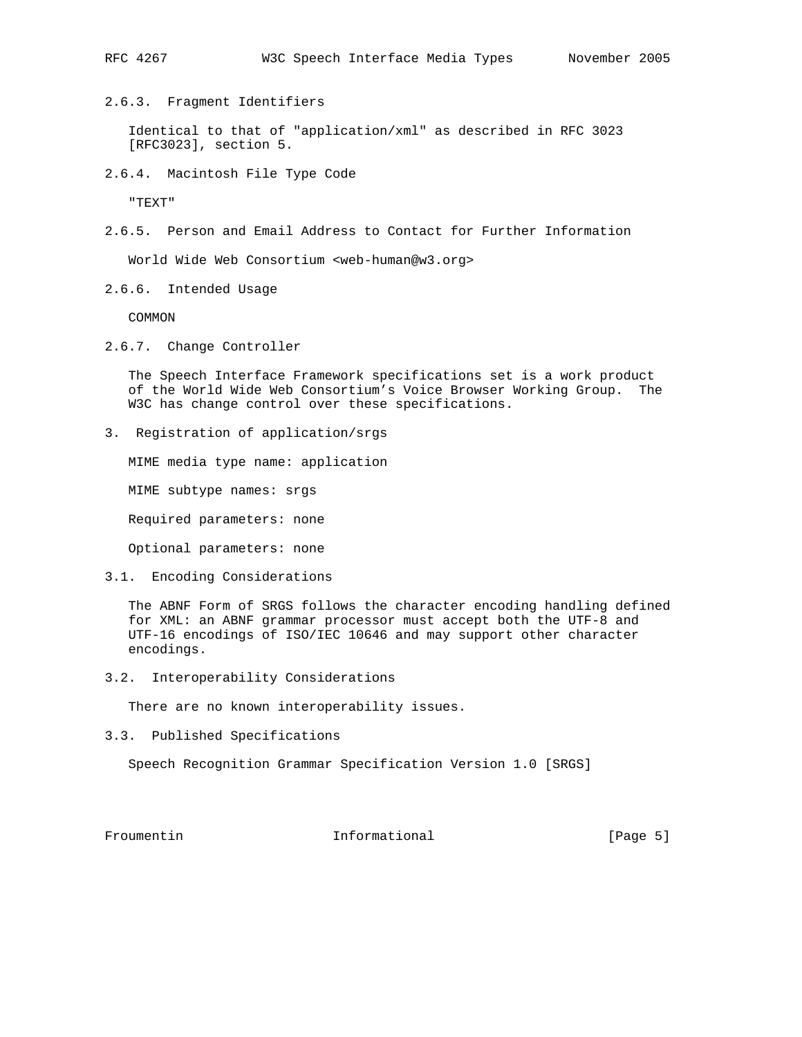2.6.3. Fragment Identifiers

 Identical to that of "application/xml" as described in RFC 3023 [RFC3023], section 5.

2.6.4. Macintosh File Type Code

"TEXT"

2.6.5. Person and Email Address to Contact for Further Information

World Wide Web Consortium <web-human@w3.org>

2.6.6. Intended Usage

COMMON

2.6.7. Change Controller

 The Speech Interface Framework specifications set is a work product of the World Wide Web Consortium's Voice Browser Working Group. The W3C has change control over these specifications.

3. Registration of application/srgs

MIME media type name: application

MIME subtype names: srgs

Required parameters: none

Optional parameters: none

3.1. Encoding Considerations

 The ABNF Form of SRGS follows the character encoding handling defined for XML: an ABNF grammar processor must accept both the UTF-8 and UTF-16 encodings of ISO/IEC 10646 and may support other character encodings.

3.2. Interoperability Considerations

There are no known interoperability issues.

3.3. Published Specifications

Speech Recognition Grammar Specification Version 1.0 [SRGS]

Froumentin 1nformational 111 [Page 5]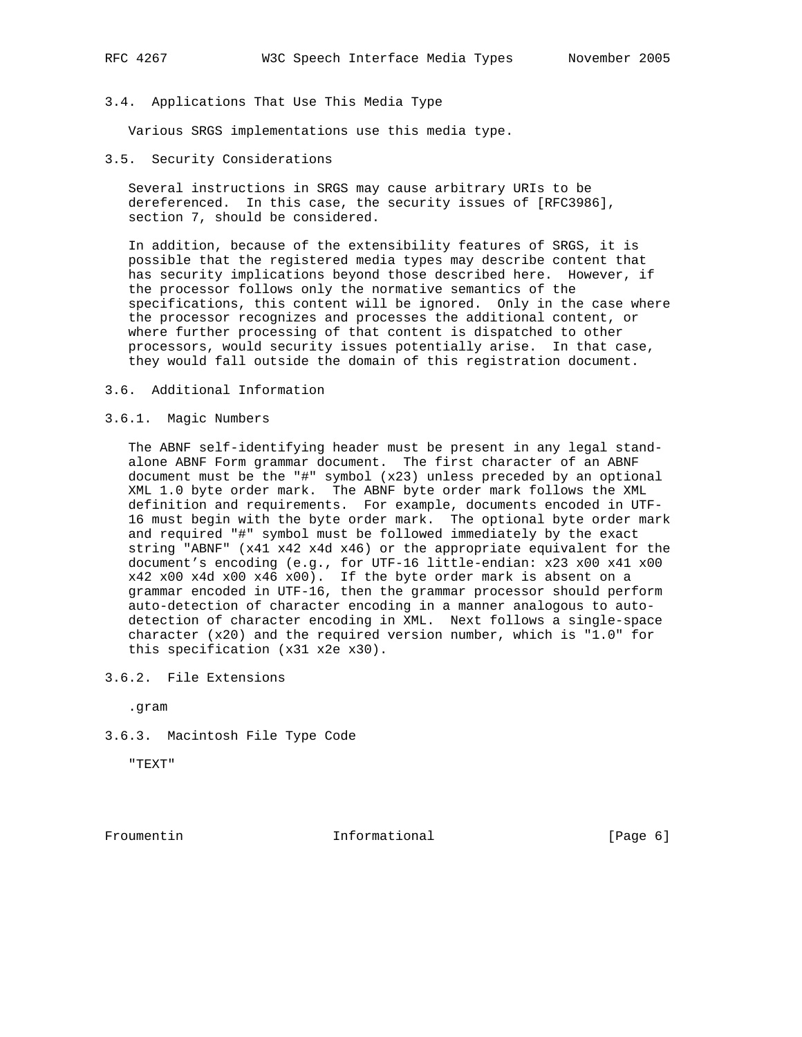#### 3.4. Applications That Use This Media Type

Various SRGS implementations use this media type.

3.5. Security Considerations

 Several instructions in SRGS may cause arbitrary URIs to be dereferenced. In this case, the security issues of [RFC3986], section 7, should be considered.

 In addition, because of the extensibility features of SRGS, it is possible that the registered media types may describe content that has security implications beyond those described here. However, if the processor follows only the normative semantics of the specifications, this content will be ignored. Only in the case where the processor recognizes and processes the additional content, or where further processing of that content is dispatched to other processors, would security issues potentially arise. In that case, they would fall outside the domain of this registration document.

3.6. Additional Information

### 3.6.1. Magic Numbers

 The ABNF self-identifying header must be present in any legal stand alone ABNF Form grammar document. The first character of an ABNF document must be the "#" symbol (x23) unless preceded by an optional XML 1.0 byte order mark. The ABNF byte order mark follows the XML definition and requirements. For example, documents encoded in UTF- 16 must begin with the byte order mark. The optional byte order mark and required "#" symbol must be followed immediately by the exact string "ABNF" (x41 x42 x4d x46) or the appropriate equivalent for the document's encoding (e.g., for UTF-16 little-endian: x23 x00 x41 x00 x42 x00 x4d x00 x46 x00). If the byte order mark is absent on a grammar encoded in UTF-16, then the grammar processor should perform auto-detection of character encoding in a manner analogous to auto detection of character encoding in XML. Next follows a single-space character (x20) and the required version number, which is "1.0" for this specification (x31 x2e x30).

3.6.2. File Extensions

.gram

3.6.3. Macintosh File Type Code

"TEXT"

Froumentin 10 Informational 10 (Page 6)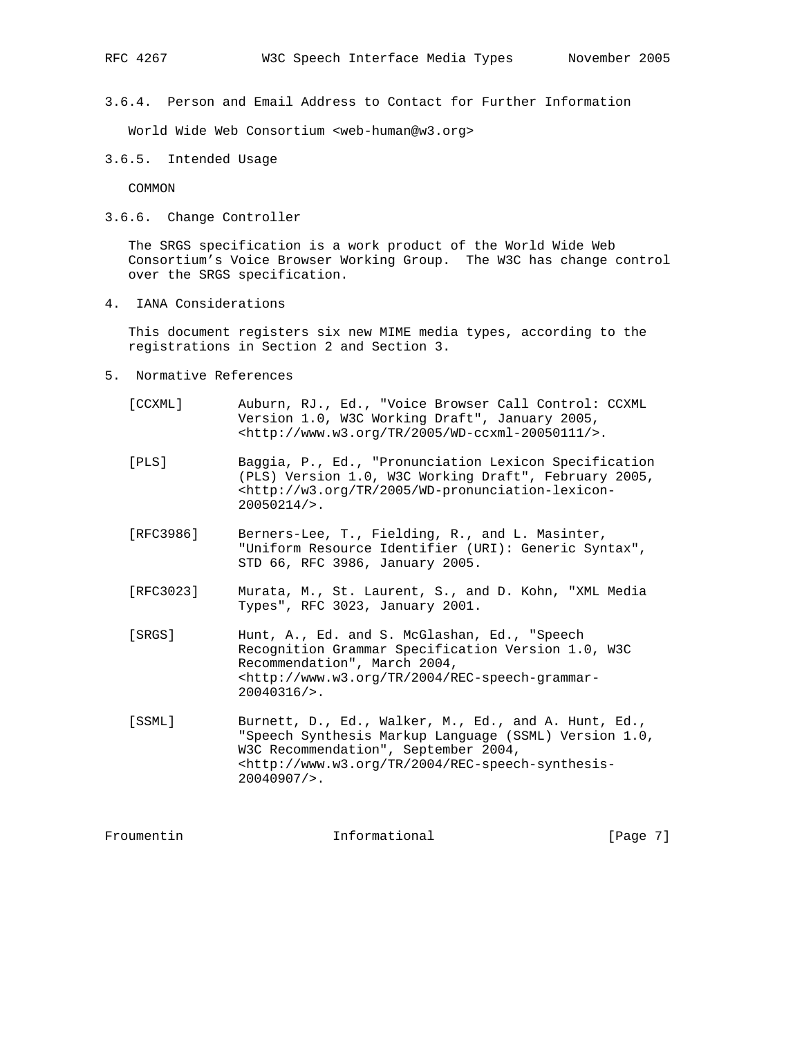3.6.4. Person and Email Address to Contact for Further Information

World Wide Web Consortium <web-human@w3.org>

3.6.5. Intended Usage

COMMON

3.6.6. Change Controller

 The SRGS specification is a work product of the World Wide Web Consortium's Voice Browser Working Group. The W3C has change control over the SRGS specification.

4. IANA Considerations

 This document registers six new MIME media types, according to the registrations in Section 2 and Section 3.

- 5. Normative References
	- [CCXML] Auburn, RJ., Ed., "Voice Browser Call Control: CCXML Version 1.0, W3C Working Draft", January 2005, <http://www.w3.org/TR/2005/WD-ccxml-20050111/>.
	- [PLS] Baggia, P., Ed., "Pronunciation Lexicon Specification (PLS) Version 1.0, W3C Working Draft", February 2005, <http://w3.org/TR/2005/WD-pronunciation-lexicon- 20050214/>.
	- [RFC3986] Berners-Lee, T., Fielding, R., and L. Masinter, "Uniform Resource Identifier (URI): Generic Syntax", STD 66, RFC 3986, January 2005.
	- [RFC3023] Murata, M., St. Laurent, S., and D. Kohn, "XML Media Types", RFC 3023, January 2001.
	- [SRGS] Hunt, A., Ed. and S. McGlashan, Ed., "Speech Recognition Grammar Specification Version 1.0, W3C Recommendation", March 2004, <http://www.w3.org/TR/2004/REC-speech-grammar- 20040316/>.
	- [SSML] Burnett, D., Ed., Walker, M., Ed., and A. Hunt, Ed., "Speech Synthesis Markup Language (SSML) Version 1.0, W3C Recommendation", September 2004, <http://www.w3.org/TR/2004/REC-speech-synthesis- 20040907/>.

Froumentin 10 Informational 10 Page 7]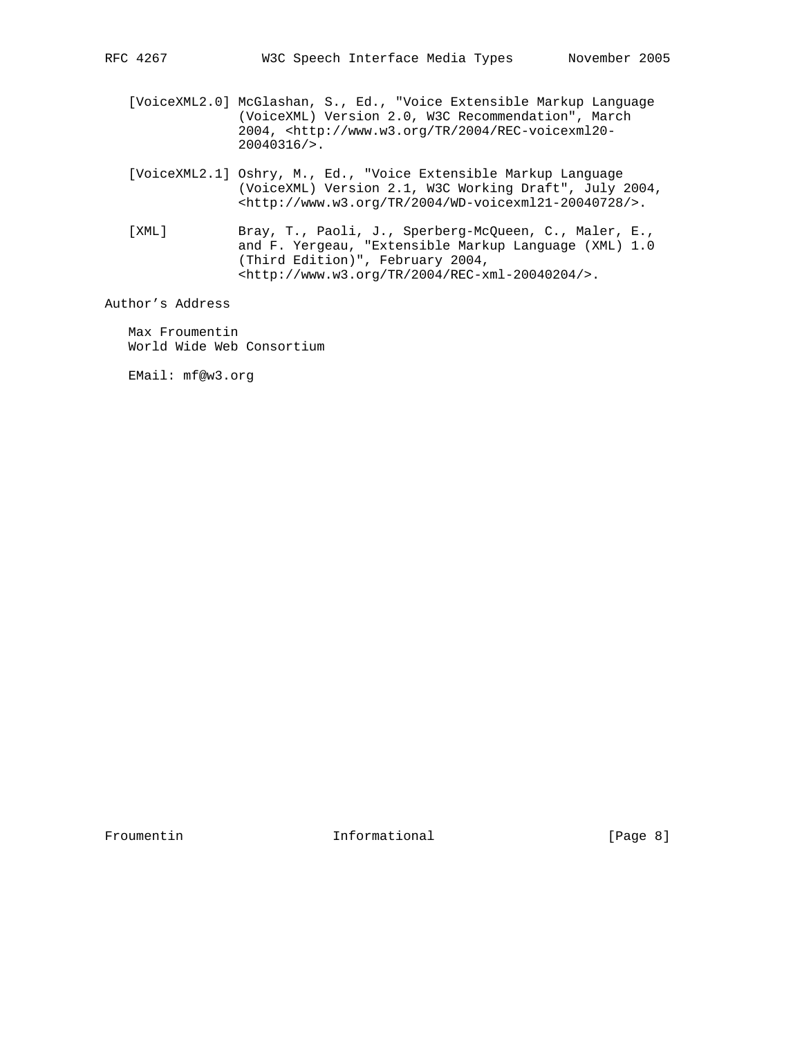- [VoiceXML2.0] McGlashan, S., Ed., "Voice Extensible Markup Language (VoiceXML) Version 2.0, W3C Recommendation", March 2004, <http://www.w3.org/TR/2004/REC-voicexml20- 20040316/>.
- [VoiceXML2.1] Oshry, M., Ed., "Voice Extensible Markup Language (VoiceXML) Version 2.1, W3C Working Draft", July 2004, <http://www.w3.org/TR/2004/WD-voicexml21-20040728/>.
- [XML] Bray, T., Paoli, J., Sperberg-McQueen, C., Maler, E., and F. Yergeau, "Extensible Markup Language (XML) 1.0 (Third Edition)", February 2004, <http://www.w3.org/TR/2004/REC-xml-20040204/>.

Author's Address

 Max Froumentin World Wide Web Consortium

EMail: mf@w3.org

Froumentin 10 Informational 10 Informational [Page 8]